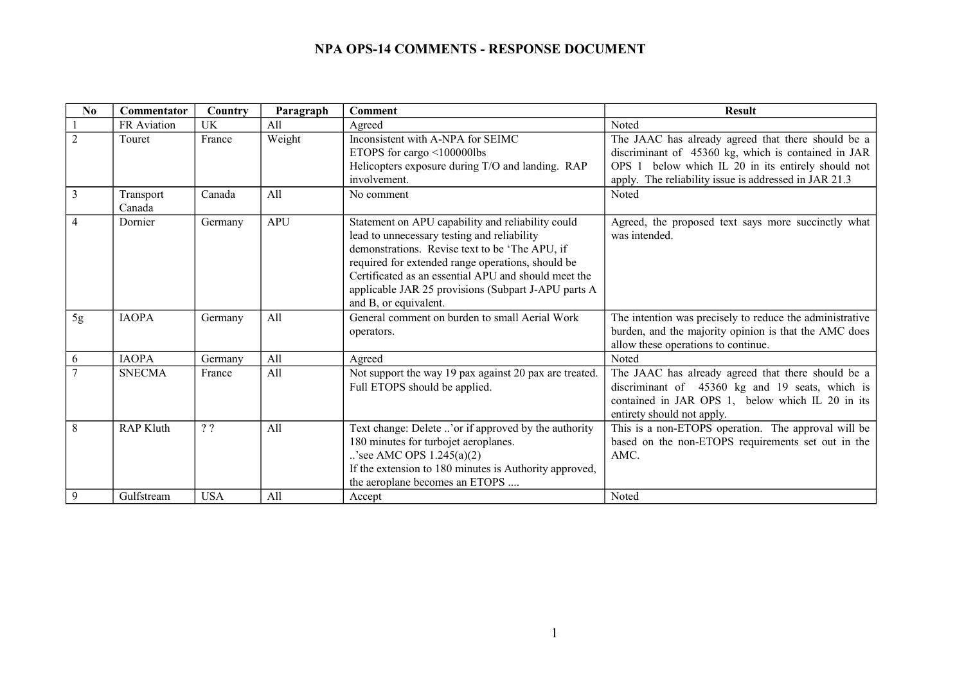| N <sub>0</sub> | Commentator                    | Country          | Paragraph  | <b>Comment</b>                                                                                                                                                                                                                                                                                                                                  | <b>Result</b>                                                                                                                                                                                                            |
|----------------|--------------------------------|------------------|------------|-------------------------------------------------------------------------------------------------------------------------------------------------------------------------------------------------------------------------------------------------------------------------------------------------------------------------------------------------|--------------------------------------------------------------------------------------------------------------------------------------------------------------------------------------------------------------------------|
|                | FR Aviation                    | <b>UK</b>        | All        | Agreed                                                                                                                                                                                                                                                                                                                                          | Noted                                                                                                                                                                                                                    |
| $\overline{2}$ | Touret                         | France           | Weight     | Inconsistent with A-NPA for SEIMC<br>ETOPS for cargo <100000lbs<br>Helicopters exposure during T/O and landing. RAP<br>involvement.                                                                                                                                                                                                             | The JAAC has already agreed that there should be a<br>discriminant of 45360 kg, which is contained in JAR<br>OPS 1 below which IL 20 in its entirely should not<br>apply. The reliability issue is addressed in JAR 21.3 |
| 3              | Transport<br>Canada            | Canada           | A11        | No comment                                                                                                                                                                                                                                                                                                                                      | Noted                                                                                                                                                                                                                    |
| 4              | Dornier                        | Germany          | <b>APU</b> | Statement on APU capability and reliability could<br>lead to unnecessary testing and reliability<br>demonstrations. Revise text to be 'The APU, if<br>required for extended range operations, should be<br>Certificated as an essential APU and should meet the<br>applicable JAR 25 provisions (Subpart J-APU parts A<br>and B, or equivalent. | Agreed, the proposed text says more succinctly what<br>was intended.                                                                                                                                                     |
| 5g             | <b>IAOPA</b>                   | Germany          | All        | General comment on burden to small Aerial Work<br>operators.                                                                                                                                                                                                                                                                                    | The intention was precisely to reduce the administrative<br>burden, and the majority opinion is that the AMC does<br>allow these operations to continue.                                                                 |
| 6              | <b>IAOPA</b>                   | Germany          | All        | Agreed                                                                                                                                                                                                                                                                                                                                          | Noted                                                                                                                                                                                                                    |
|                | <b>SNECMA</b>                  | France           | All        | Not support the way 19 pax against 20 pax are treated.<br>Full ETOPS should be applied.                                                                                                                                                                                                                                                         | The JAAC has already agreed that there should be a<br>discriminant of 45360 kg and 19 seats, which is<br>contained in JAR OPS 1, below which IL 20 in its<br>entirety should not apply.                                  |
| 8<br>9         | <b>RAP Kluth</b><br>Gulfstream | 22<br><b>USA</b> | All<br>A11 | Text change: Delete 'or if approved by the authority<br>180 minutes for turbojet aeroplanes.<br>'see AMC OPS $1.245(a)(2)$<br>If the extension to 180 minutes is Authority approved,<br>the aeroplane becomes an ETOPS<br>Accept                                                                                                                | This is a non-ETOPS operation. The approval will be<br>based on the non-ETOPS requirements set out in the<br>AMC.<br>Noted                                                                                               |
|                |                                |                  |            |                                                                                                                                                                                                                                                                                                                                                 |                                                                                                                                                                                                                          |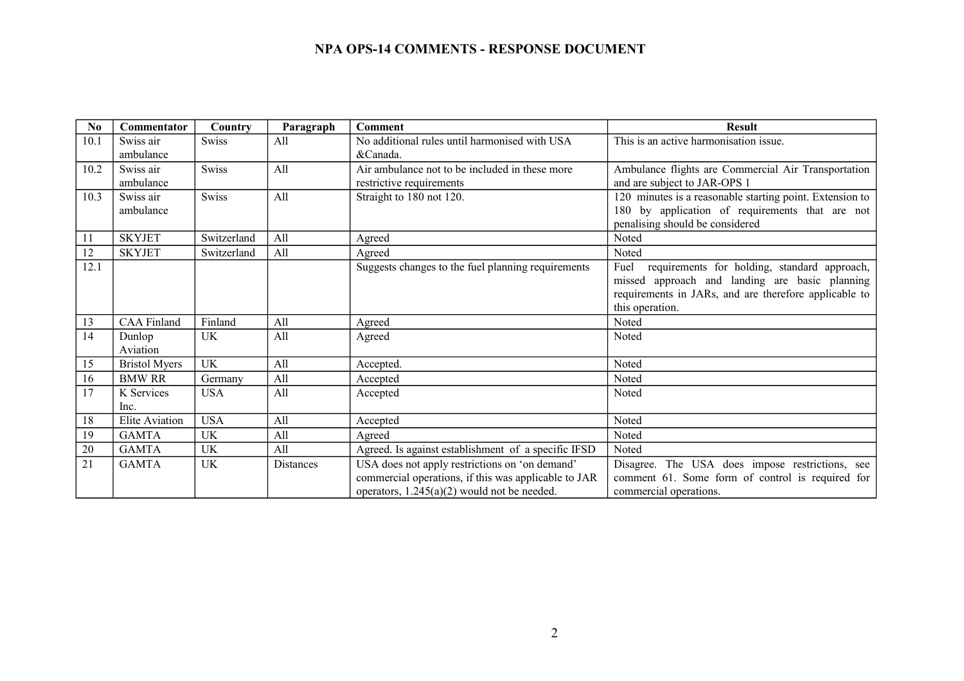| N <sub>0</sub> | Commentator            | Country      | Paragraph        | <b>Comment</b>                                                                                                                                          | <b>Result</b>                                                                                                                                                                      |
|----------------|------------------------|--------------|------------------|---------------------------------------------------------------------------------------------------------------------------------------------------------|------------------------------------------------------------------------------------------------------------------------------------------------------------------------------------|
| 10.1           | Swiss air<br>ambulance | <b>Swiss</b> | All              | No additional rules until harmonised with USA<br>&Canada.                                                                                               | This is an active harmonisation issue.                                                                                                                                             |
| 10.2           | Swiss air<br>ambulance | <b>Swiss</b> | All              | Air ambulance not to be included in these more<br>restrictive requirements                                                                              | Ambulance flights are Commercial Air Transportation<br>and are subject to JAR-OPS 1                                                                                                |
| 10.3           | Swiss air<br>ambulance | Swiss        | All              | Straight to 180 not 120.                                                                                                                                | 120 minutes is a reasonable starting point. Extension to<br>180 by application of requirements that are not<br>penalising should be considered                                     |
| 11             | <b>SKYJET</b>          | Switzerland  | All              | Agreed                                                                                                                                                  | Noted                                                                                                                                                                              |
| 12             | <b>SKYJET</b>          | Switzerland  | A11              | Agreed                                                                                                                                                  | Noted                                                                                                                                                                              |
| 12.1           |                        |              |                  | Suggests changes to the fuel planning requirements                                                                                                      | requirements for holding, standard approach,<br>Fuel<br>missed approach and landing are basic planning<br>requirements in JARs, and are therefore applicable to<br>this operation. |
| 13             | <b>CAA Finland</b>     | Finland      | All              | Agreed                                                                                                                                                  | Noted                                                                                                                                                                              |
| 14             | Dunlop<br>Aviation     | UK           | All              | Agreed                                                                                                                                                  | Noted                                                                                                                                                                              |
| 15             | <b>Bristol Myers</b>   | <b>UK</b>    | All              | Accepted.                                                                                                                                               | Noted                                                                                                                                                                              |
| 16             | <b>BMW RR</b>          | Germany      | All              | Accepted                                                                                                                                                | Noted                                                                                                                                                                              |
| 17             | K Services<br>Inc.     | <b>USA</b>   | All              | Accepted                                                                                                                                                | Noted                                                                                                                                                                              |
| 18             | <b>Elite Aviation</b>  | <b>USA</b>   | All              | Accepted                                                                                                                                                | Noted                                                                                                                                                                              |
| 19             | <b>GAMTA</b>           | UK           | All              | Agreed                                                                                                                                                  | Noted                                                                                                                                                                              |
| 20             | <b>GAMTA</b>           | UK           | All              | Agreed. Is against establishment of a specific IFSD                                                                                                     | Noted                                                                                                                                                                              |
| 21             | <b>GAMTA</b>           | UK           | <b>Distances</b> | USA does not apply restrictions on 'on demand'<br>commercial operations, if this was applicable to JAR<br>operators, $1.245(a)(2)$ would not be needed. | Disagree. The USA does impose restrictions, see<br>comment 61. Some form of control is required for<br>commercial operations.                                                      |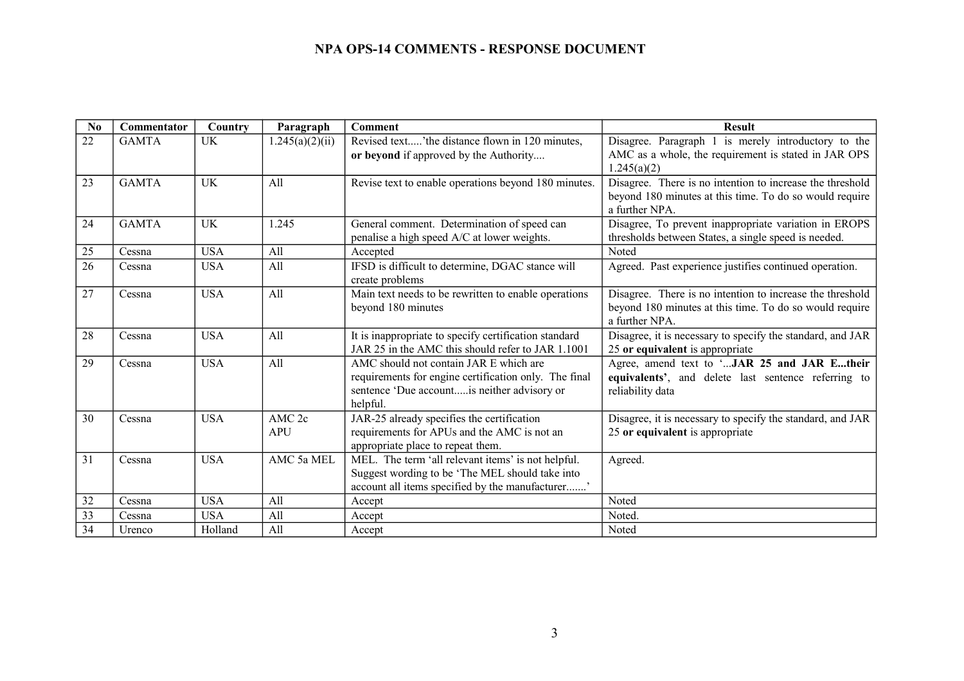| No | Commentator  | Country    | Paragraph         | <b>Comment</b>                                                                                             | <b>Result</b>                                                                                                        |
|----|--------------|------------|-------------------|------------------------------------------------------------------------------------------------------------|----------------------------------------------------------------------------------------------------------------------|
| 22 | <b>GAMTA</b> | UK         | .245(a)(2)(ii)    | Revised text'the distance flown in 120 minutes,<br>or beyond if approved by the Authority                  | Disagree. Paragraph 1 is merely introductory to the<br>AMC as a whole, the requirement is stated in JAR OPS          |
|    |              |            |                   |                                                                                                            | 1.245(a)(2)                                                                                                          |
| 23 | <b>GAMTA</b> | UK         | All               | Revise text to enable operations beyond 180 minutes.                                                       | Disagree. There is no intention to increase the threshold<br>beyond 180 minutes at this time. To do so would require |
|    |              |            |                   |                                                                                                            | a further NPA.                                                                                                       |
| 24 | <b>GAMTA</b> | UK         | 1.245             | General comment. Determination of speed can<br>penalise a high speed A/C at lower weights.                 | Disagree, To prevent inappropriate variation in EROPS<br>thresholds between States, a single speed is needed.        |
| 25 | Cessna       | <b>USA</b> | All               | Accepted                                                                                                   | Noted                                                                                                                |
| 26 | Cessna       | <b>USA</b> | All               | IFSD is difficult to determine, DGAC stance will<br>create problems                                        | Agreed. Past experience justifies continued operation.                                                               |
| 27 | Cessna       | <b>USA</b> | All               | Main text needs to be rewritten to enable operations<br>beyond 180 minutes                                 | Disagree. There is no intention to increase the threshold<br>beyond 180 minutes at this time. To do so would require |
|    |              |            |                   |                                                                                                            | a further NPA.                                                                                                       |
| 28 | Cessna       | <b>USA</b> | All               | It is inappropriate to specify certification standard<br>JAR 25 in the AMC this should refer to JAR 1.1001 | Disagree, it is necessary to specify the standard, and JAR                                                           |
| 29 | Cessna       | <b>USA</b> | All               | AMC should not contain JAR E which are                                                                     | 25 or equivalent is appropriate<br>Agree, amend text to 'JAR 25 and JAR Etheir                                       |
|    |              |            |                   | requirements for engine certification only. The final                                                      | equivalents', and delete last sentence referring to                                                                  |
|    |              |            |                   | sentence 'Due accountis neither advisory or                                                                | reliability data                                                                                                     |
|    |              |            |                   | helpful.                                                                                                   |                                                                                                                      |
| 30 | Cessna       | <b>USA</b> | AMC <sub>2c</sub> | JAR-25 already specifies the certification                                                                 | Disagree, it is necessary to specify the standard, and JAR                                                           |
|    |              |            | <b>APU</b>        | requirements for APUs and the AMC is not an                                                                | 25 or equivalent is appropriate                                                                                      |
|    |              |            |                   | appropriate place to repeat them.                                                                          |                                                                                                                      |
| 31 | Cessna       | <b>USA</b> | AMC 5a MEL        | MEL. The term 'all relevant items' is not helpful.                                                         | Agreed.                                                                                                              |
|    |              |            |                   | Suggest wording to be 'The MEL should take into                                                            |                                                                                                                      |
|    |              |            |                   | account all items specified by the manufacturer'                                                           |                                                                                                                      |
| 32 | Cessna       | <b>USA</b> | A11               | Accept                                                                                                     | Noted                                                                                                                |
| 33 | Cessna       | <b>USA</b> | All               | Accept                                                                                                     | Noted.                                                                                                               |
| 34 | Urenco       | Holland    | All               | Accept                                                                                                     | Noted                                                                                                                |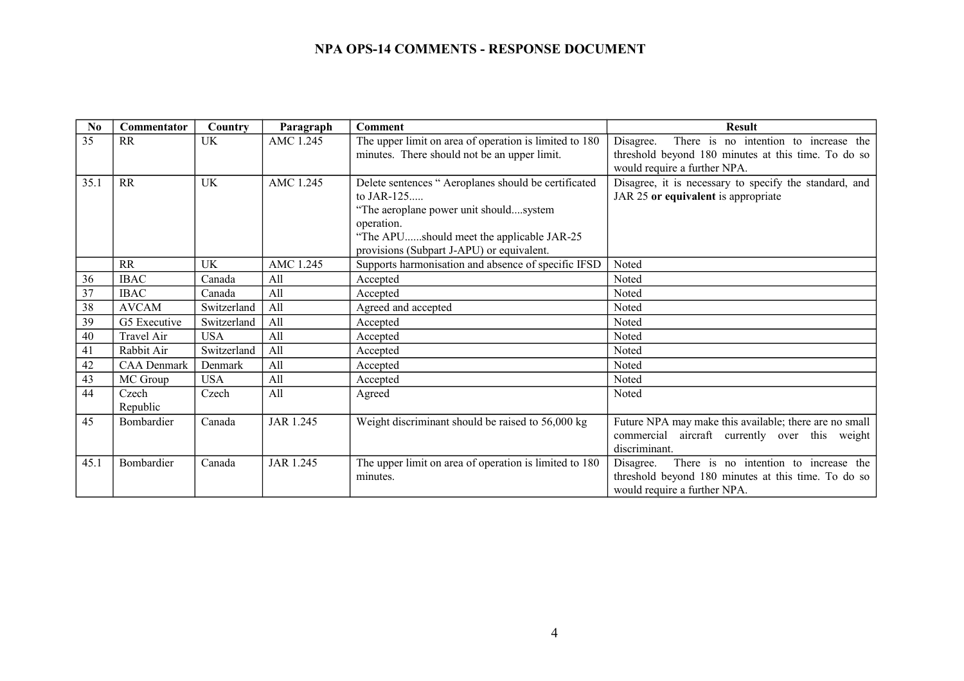| N <sub>0</sub> | Commentator        | Country     | Paragraph | <b>Comment</b>                                                                                         | <b>Result</b>                                                                                             |
|----------------|--------------------|-------------|-----------|--------------------------------------------------------------------------------------------------------|-----------------------------------------------------------------------------------------------------------|
| 35             | <b>RR</b>          | <b>UK</b>   | AMC 1.245 | The upper limit on area of operation is limited to 180<br>minutes. There should not be an upper limit. | There is no intention to increase the<br>Disagree.<br>threshold beyond 180 minutes at this time. To do so |
|                |                    |             |           |                                                                                                        | would require a further NPA.                                                                              |
| 35.1           | <b>RR</b>          | <b>UK</b>   | AMC 1.245 | Delete sentences "Aeroplanes should be certificated                                                    | Disagree, it is necessary to specify the standard, and                                                    |
|                |                    |             |           | to JAR-125                                                                                             | JAR 25 or equivalent is appropriate                                                                       |
|                |                    |             |           | "The aeroplane power unit shouldsystem                                                                 |                                                                                                           |
|                |                    |             |           | operation.                                                                                             |                                                                                                           |
|                |                    |             |           | "The APUshould meet the applicable JAR-25                                                              |                                                                                                           |
|                |                    |             |           | provisions (Subpart J-APU) or equivalent.                                                              |                                                                                                           |
|                | <b>RR</b>          | UK          | AMC 1.245 | Supports harmonisation and absence of specific IFSD                                                    | Noted                                                                                                     |
| 36             | <b>IBAC</b>        | Canada      | All       | Accepted                                                                                               | Noted                                                                                                     |
| 37             | <b>IBAC</b>        | Canada      | All       | Accepted                                                                                               | Noted                                                                                                     |
| 38             | <b>AVCAM</b>       | Switzerland | All       | Agreed and accepted                                                                                    | Noted                                                                                                     |
| 39             | G5 Executive       | Switzerland | All       | Accepted                                                                                               | Noted                                                                                                     |
| 40             | <b>Travel Air</b>  | <b>USA</b>  | All       | Accepted                                                                                               | Noted                                                                                                     |
| 41             | Rabbit Air         | Switzerland | All       | Accepted                                                                                               | Noted                                                                                                     |
| 42             | <b>CAA</b> Denmark | Denmark     | All       | Accepted                                                                                               | Noted                                                                                                     |
| 43             | MC Group           | <b>USA</b>  | All       | Accepted                                                                                               | Noted                                                                                                     |
| 44             | Czech              | Czech       | All       | Agreed                                                                                                 | Noted                                                                                                     |
|                | Republic           |             |           |                                                                                                        |                                                                                                           |
| 45             | <b>Bombardier</b>  | Canada      | JAR 1.245 | Weight discriminant should be raised to 56,000 kg                                                      | Future NPA may make this available; there are no small                                                    |
|                |                    |             |           |                                                                                                        | commercial aircraft currently over this weight                                                            |
|                |                    |             |           |                                                                                                        | discriminant.                                                                                             |
| 45.1           | Bombardier         | Canada      | JAR 1.245 | The upper limit on area of operation is limited to 180                                                 | There is no intention to increase the<br>Disagree.                                                        |
|                |                    |             |           | minutes.                                                                                               | threshold beyond 180 minutes at this time. To do so                                                       |
|                |                    |             |           |                                                                                                        | would require a further NPA.                                                                              |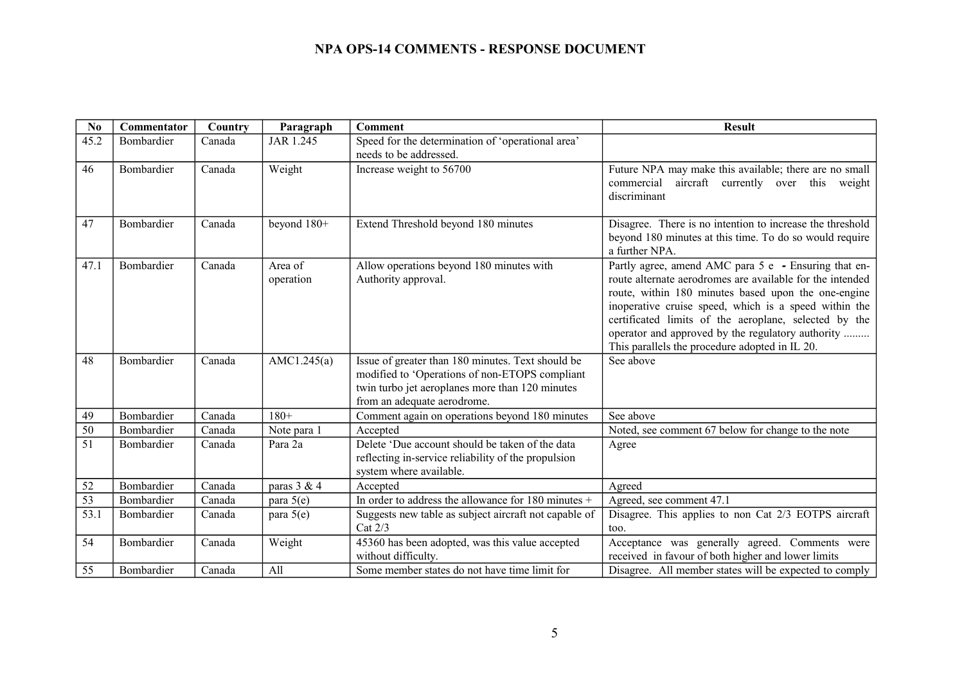| No   | Commentator       | Country | Paragraph            | <b>Comment</b>                                                                                                                                                                        | <b>Result</b>                                                                                                                                                                                                                                                                                                                                                                                     |
|------|-------------------|---------|----------------------|---------------------------------------------------------------------------------------------------------------------------------------------------------------------------------------|---------------------------------------------------------------------------------------------------------------------------------------------------------------------------------------------------------------------------------------------------------------------------------------------------------------------------------------------------------------------------------------------------|
| 45.2 | Bombardier        | Canada  | JAR 1.245            | Speed for the determination of 'operational area'                                                                                                                                     |                                                                                                                                                                                                                                                                                                                                                                                                   |
|      |                   |         |                      | needs to be addressed.                                                                                                                                                                |                                                                                                                                                                                                                                                                                                                                                                                                   |
| 46   | Bombardier        | Canada  | Weight               | Increase weight to 56700                                                                                                                                                              | Future NPA may make this available; there are no small<br>aircraft currently over this<br>commercial<br>weight<br>discriminant                                                                                                                                                                                                                                                                    |
| 47   | Bombardier        | Canada  | beyond 180+          | Extend Threshold beyond 180 minutes                                                                                                                                                   | Disagree. There is no intention to increase the threshold<br>beyond 180 minutes at this time. To do so would require<br>a further NPA.                                                                                                                                                                                                                                                            |
| 47.1 | Bombardier        | Canada  | Area of<br>operation | Allow operations beyond 180 minutes with<br>Authority approval.                                                                                                                       | Partly agree, amend AMC para 5 e - Ensuring that en-<br>route alternate aerodromes are available for the intended<br>route, within 180 minutes based upon the one-engine<br>inoperative cruise speed, which is a speed within the<br>certificated limits of the aeroplane, selected by the<br>operator and approved by the regulatory authority<br>This parallels the procedure adopted in IL 20. |
| 48   | Bombardier        | Canada  | AMC1.245 $(a)$       | Issue of greater than 180 minutes. Text should be<br>modified to 'Operations of non-ETOPS compliant<br>twin turbo jet aeroplanes more than 120 minutes<br>from an adequate aerodrome. | See above                                                                                                                                                                                                                                                                                                                                                                                         |
| 49   | Bombardier        | Canada  | $180+$               | Comment again on operations beyond 180 minutes                                                                                                                                        | See above                                                                                                                                                                                                                                                                                                                                                                                         |
| 50   | <b>Bombardier</b> | Canada  | Note para 1          | Accepted                                                                                                                                                                              | Noted, see comment 67 below for change to the note                                                                                                                                                                                                                                                                                                                                                |
| 51   | Bombardier        | Canada  | Para 2a              | Delete 'Due account should be taken of the data<br>reflecting in-service reliability of the propulsion<br>system where available.                                                     | Agree                                                                                                                                                                                                                                                                                                                                                                                             |
| 52   | Bombardier        | Canada  | paras $3 & 4$        | Accepted                                                                                                                                                                              | Agreed                                                                                                                                                                                                                                                                                                                                                                                            |
| 53   | Bombardier        | Canada  | para $5(e)$          | In order to address the allowance for 180 minutes +                                                                                                                                   | Agreed, see comment 47.1                                                                                                                                                                                                                                                                                                                                                                          |
| 53.1 | Bombardier        | Canada  | para $5(e)$          | Suggests new table as subject aircraft not capable of<br>Cat $2/3$                                                                                                                    | Disagree. This applies to non Cat 2/3 EOTPS aircraft<br>too.                                                                                                                                                                                                                                                                                                                                      |
| 54   | Bombardier        | Canada  | Weight               | 45360 has been adopted, was this value accepted<br>without difficulty.                                                                                                                | Acceptance was generally agreed. Comments were<br>received in favour of both higher and lower limits                                                                                                                                                                                                                                                                                              |
| 55   | Bombardier        | Canada  | A11                  | Some member states do not have time limit for                                                                                                                                         | Disagree. All member states will be expected to comply                                                                                                                                                                                                                                                                                                                                            |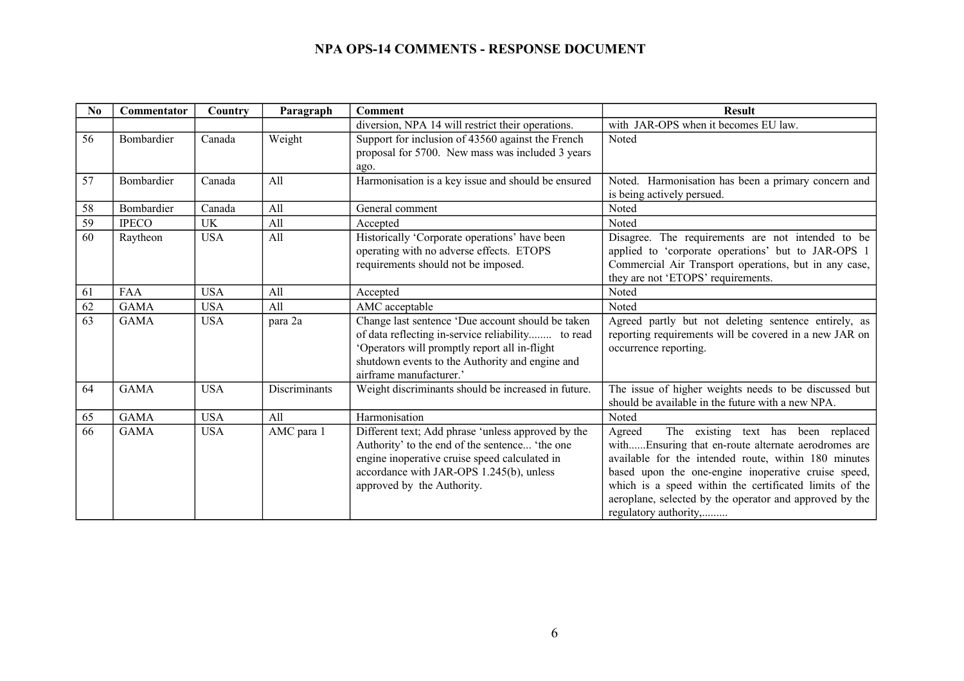| N <sub>0</sub> | Commentator  | Country    | Paragraph            | <b>Comment</b>                                                                                                                                                                                                                        | <b>Result</b>                                                                                                                                                                                                                                                                                                                                                     |
|----------------|--------------|------------|----------------------|---------------------------------------------------------------------------------------------------------------------------------------------------------------------------------------------------------------------------------------|-------------------------------------------------------------------------------------------------------------------------------------------------------------------------------------------------------------------------------------------------------------------------------------------------------------------------------------------------------------------|
|                |              |            |                      | diversion, NPA 14 will restrict their operations.                                                                                                                                                                                     | with JAR-OPS when it becomes EU law.                                                                                                                                                                                                                                                                                                                              |
| 56             | Bombardier   | Canada     | Weight               | Support for inclusion of 43560 against the French<br>proposal for 5700. New mass was included 3 years<br>ago.                                                                                                                         | Noted                                                                                                                                                                                                                                                                                                                                                             |
| 57             | Bombardier   | Canada     | All                  | Harmonisation is a key issue and should be ensured                                                                                                                                                                                    | Noted. Harmonisation has been a primary concern and<br>is being actively persued.                                                                                                                                                                                                                                                                                 |
| 58             | Bombardier   | Canada     | All                  | General comment                                                                                                                                                                                                                       | Noted                                                                                                                                                                                                                                                                                                                                                             |
| 59             | <b>IPECO</b> | UK         | All                  | Accepted                                                                                                                                                                                                                              | Noted                                                                                                                                                                                                                                                                                                                                                             |
| 60             | Raytheon     | <b>USA</b> | All                  | Historically 'Corporate operations' have been<br>operating with no adverse effects. ETOPS<br>requirements should not be imposed.                                                                                                      | Disagree. The requirements are not intended to be<br>applied to 'corporate operations' but to JAR-OPS 1<br>Commercial Air Transport operations, but in any case,<br>they are not 'ETOPS' requirements.                                                                                                                                                            |
| 61             | FAA          | <b>USA</b> | A11                  | Accepted                                                                                                                                                                                                                              | Noted                                                                                                                                                                                                                                                                                                                                                             |
| 62             | <b>GAMA</b>  | <b>USA</b> | All                  | AMC acceptable                                                                                                                                                                                                                        | Noted                                                                                                                                                                                                                                                                                                                                                             |
| 63             | <b>GAMA</b>  | <b>USA</b> | para 2a              | Change last sentence 'Due account should be taken<br>of data reflecting in-service reliability to read<br>'Operators will promptly report all in-flight<br>shutdown events to the Authority and engine and<br>airframe manufacturer.' | Agreed partly but not deleting sentence entirely, as<br>reporting requirements will be covered in a new JAR on<br>occurrence reporting.                                                                                                                                                                                                                           |
| 64             | <b>GAMA</b>  | <b>USA</b> | <b>Discriminants</b> | Weight discriminants should be increased in future.                                                                                                                                                                                   | The issue of higher weights needs to be discussed but<br>should be available in the future with a new NPA.                                                                                                                                                                                                                                                        |
| 65             | <b>GAMA</b>  | <b>USA</b> | All                  | Harmonisation                                                                                                                                                                                                                         | Noted                                                                                                                                                                                                                                                                                                                                                             |
| 66             | <b>GAMA</b>  | <b>USA</b> | AMC para 1           | Different text; Add phrase 'unless approved by the<br>Authority' to the end of the sentence 'the one<br>engine inoperative cruise speed calculated in<br>accordance with JAR-OPS 1.245(b), unless<br>approved by the Authority.       | The existing text has been replaced<br>Agreed<br>withEnsuring that en-route alternate aerodromes are<br>available for the intended route, within 180 minutes<br>based upon the one-engine inoperative cruise speed,<br>which is a speed within the certificated limits of the<br>aeroplane, selected by the operator and approved by the<br>regulatory authority, |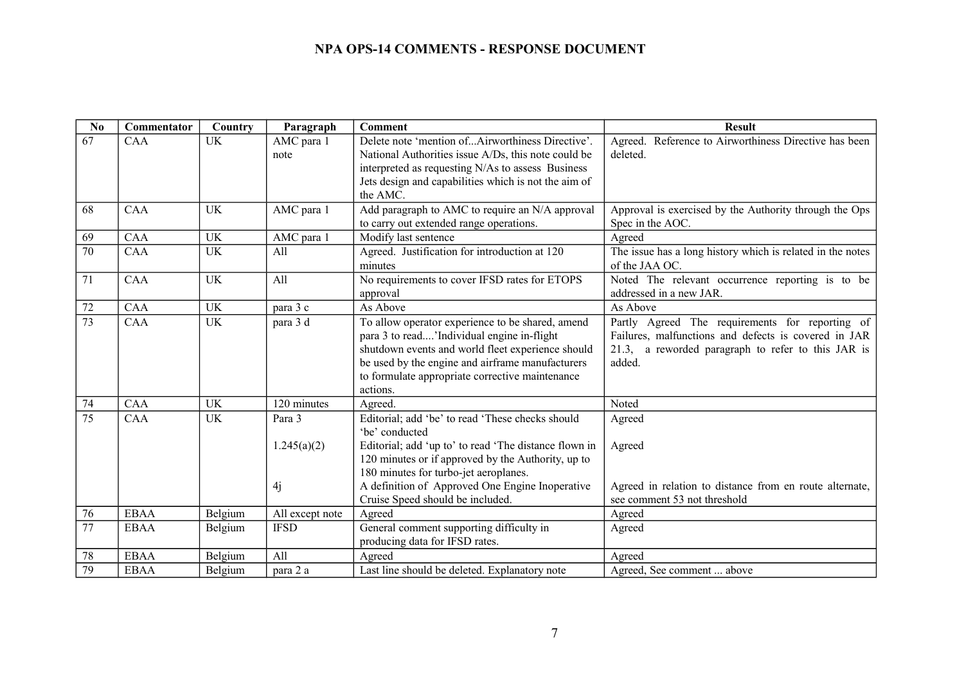| No              | Commentator | Country   | Paragraph       | <b>Comment</b>                                            | <b>Result</b>                                                                |
|-----------------|-------------|-----------|-----------------|-----------------------------------------------------------|------------------------------------------------------------------------------|
| 67              | <b>CAA</b>  | <b>UK</b> | AMC para 1      | Delete note 'mention ofAirworthiness Directive'.          | Agreed. Reference to Airworthiness Directive has been                        |
|                 |             |           | note            | National Authorities issue A/Ds, this note could be       | deleted.                                                                     |
|                 |             |           |                 | interpreted as requesting N/As to assess Business         |                                                                              |
|                 |             |           |                 | Jets design and capabilities which is not the aim of      |                                                                              |
|                 |             |           |                 | the AMC.                                                  |                                                                              |
| 68              | CAA         | <b>UK</b> | AMC para 1      | Add paragraph to AMC to require an N/A approval           | Approval is exercised by the Authority through the Ops                       |
|                 |             |           |                 | to carry out extended range operations.                   | Spec in the AOC.                                                             |
| 69              | CAA         | <b>UK</b> | AMC para 1      | Modify last sentence                                      | Agreed                                                                       |
| $\overline{70}$ | CAA         | <b>UK</b> | All             | Agreed. Justification for introduction at 120<br>minutes  | The issue has a long history which is related in the notes<br>of the JAA OC. |
| 71              | CAA         | <b>UK</b> | All             | No requirements to cover IFSD rates for ETOPS<br>approval | Noted The relevant occurrence reporting is to be<br>addressed in a new JAR.  |
| 72              | CAA         | UK        | para 3 c        | As Above                                                  | As Above                                                                     |
| $\overline{73}$ | <b>CAA</b>  | <b>UK</b> | para 3 d        | To allow operator experience to be shared, amend          | Partly Agreed The requirements for reporting of                              |
|                 |             |           |                 | para 3 to read'Individual engine in-flight                | Failures, malfunctions and defects is covered in JAR                         |
|                 |             |           |                 | shutdown events and world fleet experience should         | 21.3, a reworded paragraph to refer to this JAR is                           |
|                 |             |           |                 | be used by the engine and airframe manufacturers          | added.                                                                       |
|                 |             |           |                 | to formulate appropriate corrective maintenance           |                                                                              |
|                 |             |           |                 | actions.                                                  |                                                                              |
| 74              | CAA         | UK        | 120 minutes     | Agreed.                                                   | Noted                                                                        |
| $\overline{75}$ | <b>CAA</b>  | UK        | Para 3          | Editorial; add 'be' to read 'These checks should          | Agreed                                                                       |
|                 |             |           |                 | 'be' conducted                                            |                                                                              |
|                 |             |           | 1.245(a)(2)     | Editorial; add 'up to' to read 'The distance flown in     | Agreed                                                                       |
|                 |             |           |                 | 120 minutes or if approved by the Authority, up to        |                                                                              |
|                 |             |           |                 | 180 minutes for turbo-jet aeroplanes.                     |                                                                              |
|                 |             |           | 4j              | A definition of Approved One Engine Inoperative           | Agreed in relation to distance from en route alternate,                      |
|                 |             |           |                 | Cruise Speed should be included.                          | see comment 53 not threshold                                                 |
| 76              | <b>EBAA</b> | Belgium   | All except note | Agreed                                                    | Agreed                                                                       |
| 77              | <b>EBAA</b> | Belgium   | <b>IFSD</b>     | General comment supporting difficulty in                  | Agreed                                                                       |
|                 |             |           |                 | producing data for IFSD rates.                            |                                                                              |
| 78              | <b>EBAA</b> | Belgium   | All             | Agreed                                                    | Agreed                                                                       |
| 79              | <b>EBAA</b> | Belgium   | para 2 a        | Last line should be deleted. Explanatory note             | Agreed, See comment  above                                                   |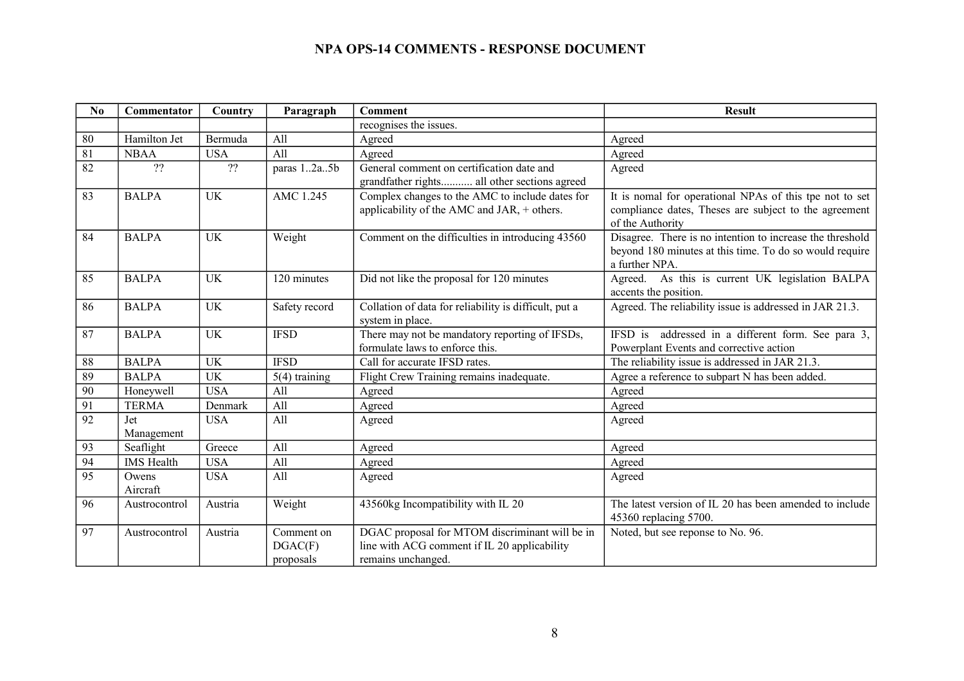| N <sub>0</sub>  | Commentator       | Country    | Paragraph                          | <b>Comment</b>                                                                                                       | <b>Result</b>                                                                                                                          |
|-----------------|-------------------|------------|------------------------------------|----------------------------------------------------------------------------------------------------------------------|----------------------------------------------------------------------------------------------------------------------------------------|
|                 |                   |            |                                    | recognises the issues.                                                                                               |                                                                                                                                        |
| 80              | Hamilton Jet      | Bermuda    | All                                | Agreed                                                                                                               | Agreed                                                                                                                                 |
| 81              | <b>NBAA</b>       | <b>USA</b> | All                                | Agreed                                                                                                               | Agreed                                                                                                                                 |
| 82              | ??                | ??         | paras 12a5b                        | General comment on certification date and<br>grandfather rights all other sections agreed                            | Agreed                                                                                                                                 |
| 83              | <b>BALPA</b>      | <b>UK</b>  | AMC 1.245                          | Complex changes to the AMC to include dates for<br>applicability of the AMC and JAR, + others.                       | It is nomal for operational NPAs of this tpe not to set<br>compliance dates, Theses are subject to the agreement<br>of the Authority   |
| 84              | <b>BALPA</b>      | <b>UK</b>  | Weight                             | Comment on the difficulties in introducing 43560                                                                     | Disagree. There is no intention to increase the threshold<br>beyond 180 minutes at this time. To do so would require<br>a further NPA. |
| 85              | <b>BALPA</b>      | <b>UK</b>  | 120 minutes                        | Did not like the proposal for 120 minutes                                                                            | Agreed. As this is current UK legislation BALPA<br>accents the position.                                                               |
| 86              | <b>BALPA</b>      | UK         | Safety record                      | Collation of data for reliability is difficult, put a<br>system in place.                                            | Agreed. The reliability issue is addressed in JAR 21.3.                                                                                |
| 87              | <b>BALPA</b>      | UK         | <b>IFSD</b>                        | There may not be mandatory reporting of IFSDs,<br>formulate laws to enforce this.                                    | IFSD is addressed in a different form. See para 3,<br>Powerplant Events and corrective action                                          |
| 88              | <b>BALPA</b>      | <b>UK</b>  | <b>IFSD</b>                        | Call for accurate IFSD rates.                                                                                        | The reliability issue is addressed in JAR 21.3.                                                                                        |
| 89              | <b>BALPA</b>      | <b>UK</b>  | $5(4)$ training                    | Flight Crew Training remains inadequate.                                                                             | Agree a reference to subpart N has been added.                                                                                         |
| $\overline{90}$ | Honeywell         | <b>USA</b> | All                                | Agreed                                                                                                               | Agreed                                                                                                                                 |
| 91              | <b>TERMA</b>      | Denmark    | All                                | Agreed                                                                                                               | Agreed                                                                                                                                 |
| 92              | Jet<br>Management | <b>USA</b> | All                                | Agreed                                                                                                               | Agreed                                                                                                                                 |
| 93              | Seaflight         | Greece     | All                                | Agreed                                                                                                               | Agreed                                                                                                                                 |
| 94              | <b>IMS</b> Health | <b>USA</b> | All                                | Agreed                                                                                                               | Agreed                                                                                                                                 |
| 95              | Owens<br>Aircraft | <b>USA</b> | All                                | Agreed                                                                                                               | Agreed                                                                                                                                 |
| 96              | Austrocontrol     | Austria    | Weight                             | 43560kg Incompatibility with IL 20                                                                                   | The latest version of IL 20 has been amended to include<br>45360 replacing 5700.                                                       |
| 97              | Austrocontrol     | Austria    | Comment on<br>DGAC(F)<br>proposals | DGAC proposal for MTOM discriminant will be in<br>line with ACG comment if IL 20 applicability<br>remains unchanged. | Noted, but see reponse to No. 96.                                                                                                      |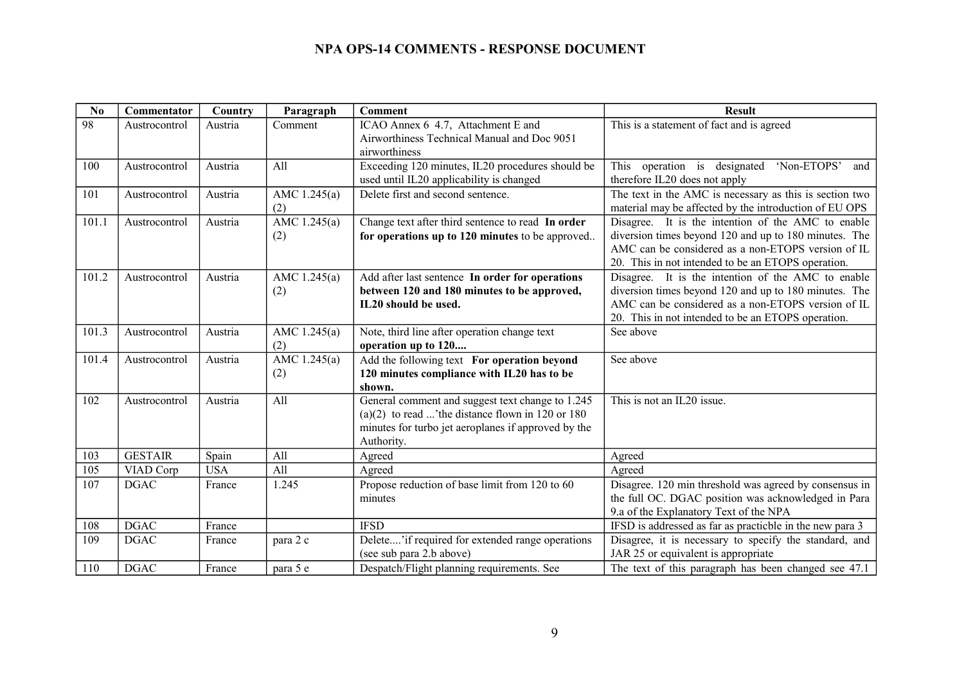| No    | Commentator                  | Country    | Paragraph           | <b>Comment</b>                                                                                                                                                            | <b>Result</b>                                                                                                                                                                                                           |
|-------|------------------------------|------------|---------------------|---------------------------------------------------------------------------------------------------------------------------------------------------------------------------|-------------------------------------------------------------------------------------------------------------------------------------------------------------------------------------------------------------------------|
| 98    | Austrocontrol                | Austria    | Comment             | ICAO Annex 6 4.7, Attachment E and<br>Airworthiness Technical Manual and Doc 9051<br>airworthiness                                                                        | This is a statement of fact and is agreed                                                                                                                                                                               |
| 100   | Austrocontrol                | Austria    | All                 | Exceeding 120 minutes, IL20 procedures should be<br>used until IL20 applicability is changed                                                                              | operation is designated 'Non-ETOPS'<br>This<br>and<br>therefore IL20 does not apply                                                                                                                                     |
| 101   | Austrocontrol                | Austria    | AMC 1.245(a)<br>(2) | Delete first and second sentence.                                                                                                                                         | The text in the AMC is necessary as this is section two<br>material may be affected by the introduction of EU OPS                                                                                                       |
| 101.1 | Austrocontrol                | Austria    | AMC 1.245(a)<br>(2) | Change text after third sentence to read In order<br>for operations up to 120 minutes to be approved                                                                      | Disagree. It is the intention of the AMC to enable<br>diversion times beyond 120 and up to 180 minutes. The<br>AMC can be considered as a non-ETOPS version of IL<br>20. This in not intended to be an ETOPS operation. |
| 101.2 | Austrocontrol                | Austria    | AMC 1.245(a)<br>(2) | Add after last sentence In order for operations<br>between 120 and 180 minutes to be approved,<br>IL20 should be used.                                                    | Disagree. It is the intention of the AMC to enable<br>diversion times beyond 120 and up to 180 minutes. The<br>AMC can be considered as a non-ETOPS version of IL<br>20. This in not intended to be an ETOPS operation. |
| 101.3 | Austrocontrol                | Austria    | AMC 1.245(a)<br>(2) | Note, third line after operation change text<br>operation up to 120                                                                                                       | See above                                                                                                                                                                                                               |
| 101.4 | Austrocontrol                | Austria    | AMC 1.245(a)<br>(2) | Add the following text For operation beyond<br>120 minutes compliance with IL20 has to be<br>shown.                                                                       | See above                                                                                                                                                                                                               |
| 102   | Austrocontrol                | Austria    | All                 | General comment and suggest text change to 1.245<br>(a)(2) to read 'the distance flown in 120 or 180<br>minutes for turbo jet aeroplanes if approved by the<br>Authority. | This is not an IL20 issue.                                                                                                                                                                                              |
| 103   | <b>GESTAIR</b>               | Spain      | All                 | Agreed                                                                                                                                                                    | Agreed                                                                                                                                                                                                                  |
| 105   | VIAD Corp                    | <b>USA</b> | All                 | Agreed                                                                                                                                                                    | Agreed                                                                                                                                                                                                                  |
| 107   | <b>DGAC</b>                  | France     | 1.245               | Propose reduction of base limit from 120 to 60<br>minutes                                                                                                                 | Disagree. 120 min threshold was agreed by consensus in<br>the full OC. DGAC position was acknowledged in Para<br>9.a of the Explanatory Text of the NPA                                                                 |
| 108   | <b>DGAC</b>                  | France     |                     | <b>IFSD</b>                                                                                                                                                               | IFSD is addressed as far as practicble in the new para 3                                                                                                                                                                |
| 109   | <b>DGAC</b>                  | France     | para 2 c            | Delete'if required for extended range operations<br>(see sub para 2.b above)                                                                                              | Disagree, it is necessary to specify the standard, and<br>JAR 25 or equivalent is appropriate                                                                                                                           |
| 110   | $\mathop{\sf DGAC}\nolimits$ | France     | para 5 e            | Despatch/Flight planning requirements. See                                                                                                                                | The text of this paragraph has been changed see 47.1                                                                                                                                                                    |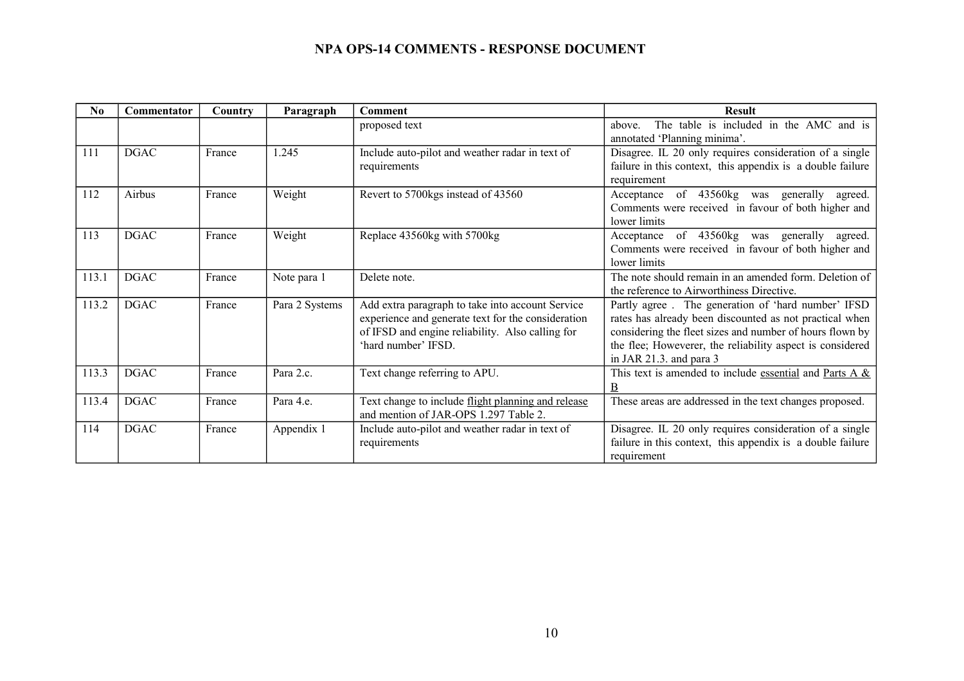| N <sub>0</sub> | Commentator | Country | Paragraph      | <b>Comment</b>                                                                                                                                                                    | <b>Result</b>                                                                                                                                                                                                                                                     |
|----------------|-------------|---------|----------------|-----------------------------------------------------------------------------------------------------------------------------------------------------------------------------------|-------------------------------------------------------------------------------------------------------------------------------------------------------------------------------------------------------------------------------------------------------------------|
|                |             |         |                | proposed text                                                                                                                                                                     | The table is included in the AMC and is<br>above.<br>annotated 'Planning minima'.                                                                                                                                                                                 |
| 111            | <b>DGAC</b> | France  | 1.245          | Include auto-pilot and weather radar in text of<br>requirements                                                                                                                   | Disagree. IL 20 only requires consideration of a single<br>failure in this context, this appendix is a double failure<br>requirement                                                                                                                              |
| 112            | Airbus      | France  | Weight         | Revert to 5700kgs instead of 43560                                                                                                                                                | Acceptance of 43560kg was generally agreed.<br>Comments were received in favour of both higher and<br>lower limits                                                                                                                                                |
| 113            | <b>DGAC</b> | France  | Weight         | Replace 43560kg with 5700kg                                                                                                                                                       | Acceptance of 43560kg was generally agreed.<br>Comments were received in favour of both higher and<br>lower limits                                                                                                                                                |
| 113.1          | <b>DGAC</b> | France  | Note para 1    | Delete note.                                                                                                                                                                      | The note should remain in an amended form. Deletion of<br>the reference to Airworthiness Directive.                                                                                                                                                               |
| 113.2          | <b>DGAC</b> | France  | Para 2 Systems | Add extra paragraph to take into account Service<br>experience and generate text for the consideration<br>of IFSD and engine reliability. Also calling for<br>'hard number' IFSD. | Partly agree. The generation of 'hard number' IFSD<br>rates has already been discounted as not practical when<br>considering the fleet sizes and number of hours flown by<br>the flee; Howeverer, the reliability aspect is considered<br>in JAR 21.3. and para 3 |
| 113.3          | <b>DGAC</b> | France  | Para 2.c.      | Text change referring to APU.                                                                                                                                                     | This text is amended to include essential and Parts A &<br>B                                                                                                                                                                                                      |
| 113.4          | <b>DGAC</b> | France  | Para 4.e.      | Text change to include flight planning and release<br>and mention of JAR-OPS 1.297 Table 2.                                                                                       | These areas are addressed in the text changes proposed.                                                                                                                                                                                                           |
| 114            | <b>DGAC</b> | France  | Appendix 1     | Include auto-pilot and weather radar in text of<br>requirements                                                                                                                   | Disagree. IL 20 only requires consideration of a single<br>failure in this context, this appendix is a double failure<br>requirement                                                                                                                              |